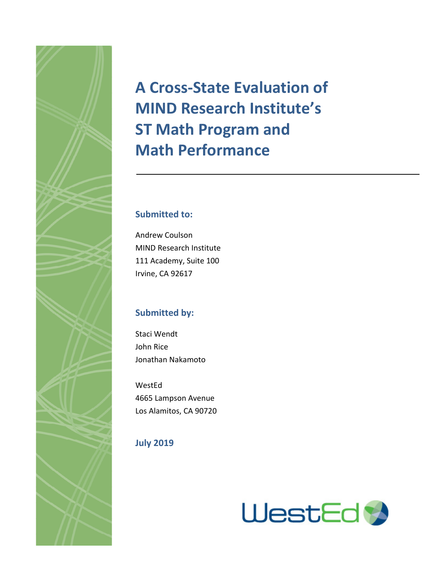# **A Cross-State Evaluation of MIND Research Institute's ST Math Program and Math Performance**

# **Submitted to:**

Andrew Coulson MIND Research Institute 111 Academy, Suite 100 Irvine, CA 92617

# **Submitted by:**

Staci Wendt John Rice Jonathan Nakamoto

WestEd 4665 Lampson Avenue Los Alamitos, CA 90720

# **July 2019**



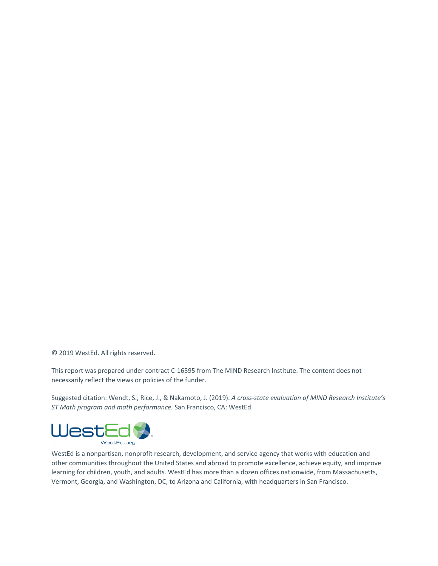© 2019 WestEd. All rights reserved.

This report was prepared under contract C-16595 from The MIND Research Institute. The content does not necessarily reflect the views or policies of the funder.

Suggested citation: Wendt, S., Rice, J., & Nakamoto, J. (2019). *A cross-state evaluation of MIND Research Institute's ST Math program and math performance.* San Francisco, CA: WestEd.



WestEd is a nonpartisan, nonprofit research, development, and service agency that works with education and other communities throughout the United States and abroad to promote excellence, achieve equity, and improve learning for children, youth, and adults. WestEd has more than a dozen offices nationwide, from Massachusetts, Vermont, Georgia, and Washington, DC, to Arizona and California, with headquarters in San Francisco.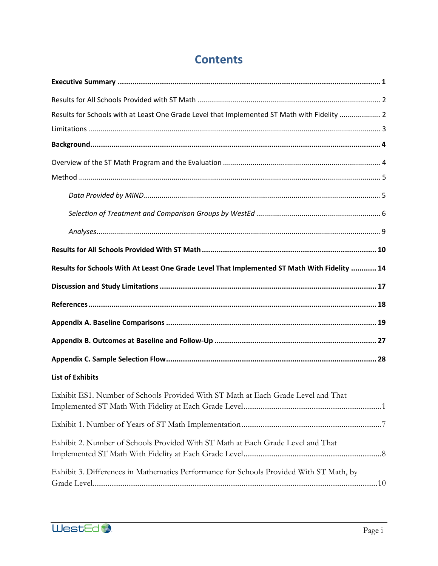| Results for Schools with at Least One Grade Level that Implemented ST Math with Fidelity  2  |  |
|----------------------------------------------------------------------------------------------|--|
|                                                                                              |  |
|                                                                                              |  |
|                                                                                              |  |
|                                                                                              |  |
|                                                                                              |  |
|                                                                                              |  |
|                                                                                              |  |
|                                                                                              |  |
| Results for Schools With At Least One Grade Level That Implemented ST Math With Fidelity  14 |  |
|                                                                                              |  |
|                                                                                              |  |
|                                                                                              |  |
|                                                                                              |  |
|                                                                                              |  |
| <b>List of Exhibits</b>                                                                      |  |
| Exhibit ES1. Number of Schools Provided With ST Math at Each Grade Level and That            |  |
|                                                                                              |  |
| Exhibit 2. Number of Schools Provided With ST Math at Each Grade Level and That              |  |
| Exhibit 3. Differences in Mathematics Performance for Schools Provided With ST Math, by      |  |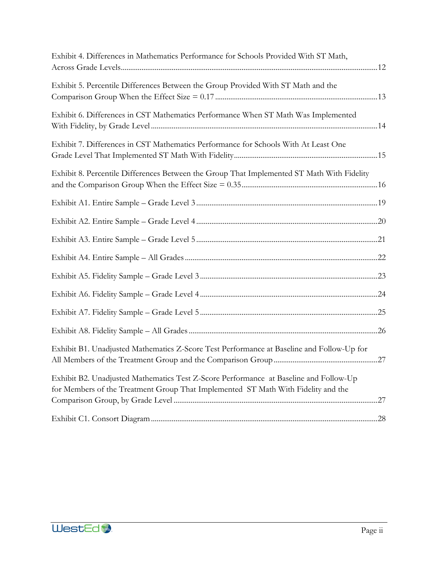| Exhibit 4. Differences in Mathematics Performance for Schools Provided With ST Math,                                                                                       |  |
|----------------------------------------------------------------------------------------------------------------------------------------------------------------------------|--|
| Exhibit 5. Percentile Differences Between the Group Provided With ST Math and the                                                                                          |  |
| Exhibit 6. Differences in CST Mathematics Performance When ST Math Was Implemented                                                                                         |  |
| Exhibit 7. Differences in CST Mathematics Performance for Schools With At Least One                                                                                        |  |
| Exhibit 8. Percentile Differences Between the Group That Implemented ST Math With Fidelity                                                                                 |  |
|                                                                                                                                                                            |  |
|                                                                                                                                                                            |  |
|                                                                                                                                                                            |  |
|                                                                                                                                                                            |  |
|                                                                                                                                                                            |  |
|                                                                                                                                                                            |  |
|                                                                                                                                                                            |  |
|                                                                                                                                                                            |  |
| Exhibit B1. Unadjusted Mathematics Z-Score Test Performance at Baseline and Follow-Up for                                                                                  |  |
| Exhibit B2. Unadjusted Mathematics Test Z-Score Performance at Baseline and Follow-Up<br>for Members of the Treatment Group That Implemented ST Math With Fidelity and the |  |
|                                                                                                                                                                            |  |
|                                                                                                                                                                            |  |

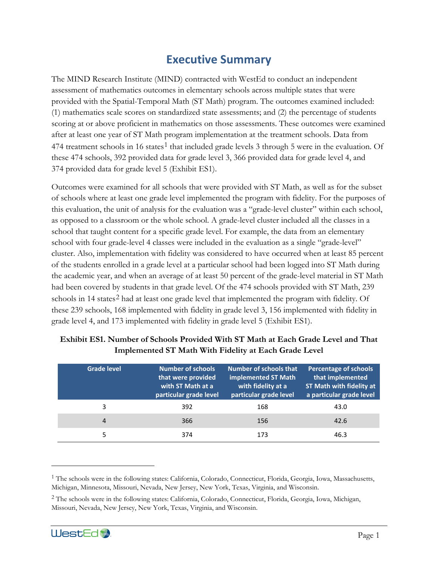# **Executive Summary**

The MIND Research Institute (MIND) contracted with WestEd to conduct an independent assessment of mathematics outcomes in elementary schools across multiple states that were provided with the Spatial-Temporal Math (ST Math) program. The outcomes examined included: (1) mathematics scale scores on standardized state assessments; and (2) the percentage of students scoring at or above proficient in mathematics on those assessments. These outcomes were examined after at least one year of ST Math program implementation at the treatment schools. Data from 474 treatment schools in [1](#page-4-1)6 states<sup>1</sup> that included grade levels 3 through 5 were in the evaluation. Of these 474 schools, 392 provided data for grade level 3, 366 provided data for grade level 4, and 374 provided data for grade level 5 (Exhibit ES1).

Outcomes were examined for all schools that were provided with ST Math, as well as for the subset of schools where at least one grade level implemented the program with fidelity. For the purposes of this evaluation, the unit of analysis for the evaluation was a "grade-level cluster" within each school, as opposed to a classroom or the whole school. A grade-level cluster included all the classes in a school that taught content for a specific grade level. For example, the data from an elementary school with four grade-level 4 classes were included in the evaluation as a single "grade-level" cluster. Also, implementation with fidelity was considered to have occurred when at least 85 percent of the students enrolled in a grade level at a particular school had been logged into ST Math during the academic year, and when an average of at least 50 percent of the grade-level material in ST Math had been covered by students in that grade level. Of the 474 schools provided with ST Math, 239 schools in 14 states<sup>[2](#page-4-2)</sup> had at least one grade level that implemented the program with fidelity. Of these 239 schools, 168 implemented with fidelity in grade level 3, 156 implemented with fidelity in grade level 4, and 173 implemented with fidelity in grade level 5 (Exhibit ES1).

| <b>Grade level</b> | <b>Number of schools</b><br>that were provided<br>with ST Math at a<br>particular grade level | Number of schools that<br>implemented ST Math<br>with fidelity at a<br>particular grade level | <b>Percentage of schools</b><br>that implemented<br><b>ST Math with fidelity at</b><br>a particular grade level |
|--------------------|-----------------------------------------------------------------------------------------------|-----------------------------------------------------------------------------------------------|-----------------------------------------------------------------------------------------------------------------|
| 3                  | 392                                                                                           | 168                                                                                           | 43.0                                                                                                            |
| 4                  | 366                                                                                           | 156                                                                                           | 42.6                                                                                                            |
|                    | 374                                                                                           | 173                                                                                           | 46.3                                                                                                            |

# <span id="page-4-0"></span>**Exhibit ES1. Number of Schools Provided With ST Math at Each Grade Level and That Implemented ST Math With Fidelity at Each Grade Level**

<span id="page-4-2"></span><sup>2</sup> The schools were in the following states: California, Colorado, Connecticut, Florida, Georgia, Iowa, Michigan, Missouri, Nevada, New Jersey, New York, Texas, Virginia, and Wisconsin.



<span id="page-4-1"></span><sup>1</sup> The schools were in the following states: California, Colorado, Connecticut, Florida, Georgia, Iowa, Massachusetts, Michigan, Minnesota, Missouri, Nevada, New Jersey, New York, Texas, Virginia, and Wisconsin.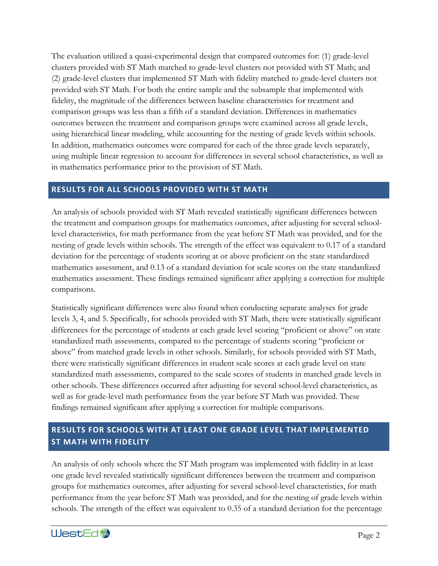The evaluation utilized a quasi-experimental design that compared outcomes for: (1) grade-level clusters provided with ST Math matched to grade-level clusters not provided with ST Math; and (2) grade-level clusters that implemented ST Math with fidelity matched to grade-level clusters not provided with ST Math. For both the entire sample and the subsample that implemented with fidelity, the magnitude of the differences between baseline characteristics for treatment and comparison groups was less than a fifth of a standard deviation. Differences in mathematics outcomes between the treatment and comparison groups were examined across all grade levels, using hierarchical linear modeling, while accounting for the nesting of grade levels within schools. In addition, mathematics outcomes were compared for each of the three grade levels separately, using multiple linear regression to account for differences in several school characteristics, as well as in mathematics performance prior to the provision of ST Math.

### **RESULTS FOR ALL SCHOOLS PROVIDED WITH ST MATH**

An analysis of schools provided with ST Math revealed statistically significant differences between the treatment and comparison groups for mathematics outcomes, after adjusting for several schoollevel characteristics, for math performance from the year before ST Math was provided, and for the nesting of grade levels within schools. The strength of the effect was equivalent to 0.17 of a standard deviation for the percentage of students scoring at or above proficient on the state standardized mathematics assessment, and 0.13 of a standard deviation for scale scores on the state standardized mathematics assessment. These findings remained significant after applying a correction for multiple comparisons.

Statistically significant differences were also found when conducting separate analyses for grade levels 3, 4, and 5. Specifically, for schools provided with ST Math, there were statistically significant differences for the percentage of students at each grade level scoring "proficient or above" on state standardized math assessments, compared to the percentage of students scoring "proficient or above" from matched grade levels in other schools. Similarly, for schools provided with ST Math, there were statistically significant differences in student scale scores at each grade level on state standardized math assessments, compared to the scale scores of students in matched grade levels in other schools. These differences occurred after adjusting for several school-level characteristics, as well as for grade-level math performance from the year before ST Math was provided. These findings remained significant after applying a correction for multiple comparisons.

# **RESULTS FOR SCHOOLS WITH AT LEAST ONE GRADE LEVEL THAT IMPLEMENTED ST MATH WITH FIDELITY**

An analysis of only schools where the ST Math program was implemented with fidelity in at least one grade level revealed statistically significant differences between the treatment and comparison groups for mathematics outcomes, after adjusting for several school-level characteristics, for math performance from the year before ST Math was provided, and for the nesting of grade levels within schools. The strength of the effect was equivalent to 0.35 of a standard deviation for the percentage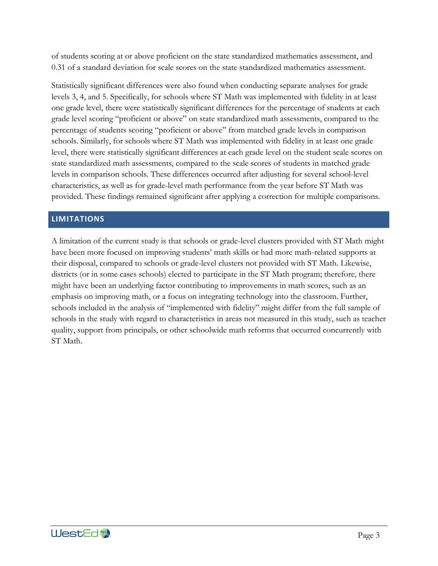of students scoring at or above proficient on the state standardized mathematics assessment, and 0.31 of a standard deviation for scale scores on the state standardized mathematics assessment.

Statistically significant differences were also found when conducting separate analyses for grade levels 3, 4, and 5. Specifically, for schools where ST Math was implemented with fidelity in at least one grade level, there were statistically significant differences for the percentage of students at each grade level scoring "proficient or above" on state standardized math assessments, compared to the percentage of students scoring "proficient or above" from matched grade levels in comparison schools. Similarly, for schools where ST Math was implemented with fidelity in at least one grade level, there were statistically significant differences at each grade level on the student scale scores on state standardized math assessments, compared to the scale scores of students in matched grade levels in comparison schools. These differences occurred after adjusting for several school-level characteristics, as well as for grade-level math performance from the year before ST Math was provided. These findings remained significant after applying a correction for multiple comparisons.

### **LIMITATIONS**

A limitation of the current study is that schools or grade-level clusters provided with ST Math might have been more focused on improving students' math skills or had more math-related supports at their disposal, compared to schools or grade-level clusters not provided with ST Math. Likewise, districts (or in some cases schools) elected to participate in the ST Math program; therefore, there might have been an underlying factor contributing to improvements in math scores, such as an emphasis on improving math, or a focus on integrating technology into the classroom. Further, schools included in the analysis of "implemented with fidelity" might differ from the full sample of schools in the study with regard to characteristics in areas not measured in this study, such as teacher quality, support from principals, or other schoolwide math reforms that occurred concurrently with ST Math.

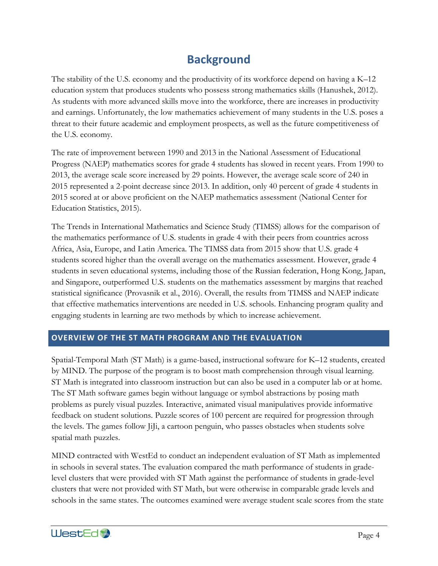# **Background**

The stability of the U.S. economy and the productivity of its workforce depend on having a K–12 education system that produces students who possess strong mathematics skills (Hanushek, 2012). As students with more advanced skills move into the workforce, there are increases in productivity and earnings. Unfortunately, the low mathematics achievement of many students in the U.S. poses a threat to their future academic and employment prospects, as well as the future competitiveness of the U.S. economy.

The rate of improvement between 1990 and 2013 in the National Assessment of Educational Progress (NAEP) mathematics scores for grade 4 students has slowed in recent years. From 1990 to 2013, the average scale score increased by 29 points. However, the average scale score of 240 in 2015 represented a 2-point decrease since 2013. In addition, only 40 percent of grade 4 students in 2015 scored at or above proficient on the NAEP mathematics assessment (National Center for Education Statistics, 2015).

The Trends in International Mathematics and Science Study (TIMSS) allows for the comparison of the mathematics performance of U.S. students in grade 4 with their peers from countries across Africa, Asia, Europe, and Latin America. The TIMSS data from 2015 show that U.S. grade 4 students scored higher than the overall average on the mathematics assessment. However, grade 4 students in seven educational systems, including those of the Russian federation, Hong Kong, Japan, and Singapore, outperformed U.S. students on the mathematics assessment by margins that reached statistical significance (Provasnik et al., 2016). Overall, the results from TIMSS and NAEP indicate that effective mathematics interventions are needed in U.S. schools. Enhancing program quality and engaging students in learning are two methods by which to increase achievement.

#### **OVERVIEW OF THE ST MATH PROGRAM AND THE EVALUATION**

Spatial-Temporal Math (ST Math) is a game-based, instructional software for K–12 students, created by MIND. The purpose of the program is to boost math comprehension through visual learning. ST Math is integrated into classroom instruction but can also be used in a computer lab or at home. The ST Math software games begin without language or symbol abstractions by posing math problems as purely visual puzzles. Interactive, animated visual manipulatives provide informative feedback on student solutions. Puzzle scores of 100 percent are required for progression through the levels. The games follow JiJi, a cartoon penguin, who passes obstacles when students solve spatial math puzzles.

MIND contracted with WestEd to conduct an independent evaluation of ST Math as implemented in schools in several states. The evaluation compared the math performance of students in gradelevel clusters that were provided with ST Math against the performance of students in grade-level clusters that were not provided with ST Math, but were otherwise in comparable grade levels and schools in the same states. The outcomes examined were average student scale scores from the state

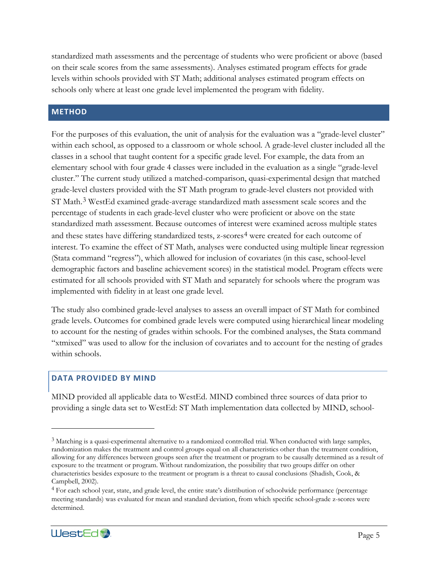standardized math assessments and the percentage of students who were proficient or above (based on their scale scores from the same assessments). Analyses estimated program effects for grade levels within schools provided with ST Math; additional analyses estimated program effects on schools only where at least one grade level implemented the program with fidelity.

### **METHOD**

For the purposes of this evaluation, the unit of analysis for the evaluation was a "grade-level cluster" within each school, as opposed to a classroom or whole school. A grade-level cluster included all the classes in a school that taught content for a specific grade level. For example, the data from an elementary school with four grade 4 classes were included in the evaluation as a single "grade-level cluster." The current study utilized a matched-comparison, quasi-experimental design that matched grade-level clusters provided with the ST Math program to grade-level clusters not provided with ST Math.<sup>[3](#page-8-0)</sup> WestEd examined grade-average standardized math assessment scale scores and the percentage of students in each grade-level cluster who were proficient or above on the state standardized math assessment. Because outcomes of interest were examined across multiple states and these states have differing standardized tests, z-scores<sup>[4](#page-8-1)</sup> were created for each outcome of interest. To examine the effect of ST Math, analyses were conducted using multiple linear regression (Stata command "regress"), which allowed for inclusion of covariates (in this case, school-level demographic factors and baseline achievement scores) in the statistical model. Program effects were estimated for all schools provided with ST Math and separately for schools where the program was implemented with fidelity in at least one grade level.

The study also combined grade-level analyses to assess an overall impact of ST Math for combined grade levels. Outcomes for combined grade levels were computed using hierarchical linear modeling to account for the nesting of grades within schools. For the combined analyses, the Stata command "xtmixed" was used to allow for the inclusion of covariates and to account for the nesting of grades within schools.

### **DATA PROVIDED BY MIND**

MIND provided all applicable data to WestEd. MIND combined three sources of data prior to providing a single data set to WestEd: ST Math implementation data collected by MIND, school-

<span id="page-8-1"></span><sup>4</sup> For each school year, state, and grade level, the entire state's distribution of schoolwide performance (percentage meeting standards) was evaluated for mean and standard deviation, from which specific school-grade z-scores were determined.



<span id="page-8-0"></span><sup>3</sup> Matching is a quasi-experimental alternative to a randomized controlled trial. When conducted with large samples, randomization makes the treatment and control groups equal on all characteristics other than the treatment condition, allowing for any differences between groups seen after the treatment or program to be causally determined as a result of exposure to the treatment or program. Without randomization, the possibility that two groups differ on other characteristics besides exposure to the treatment or program is a threat to causal conclusions (Shadish, Cook, & Campbell, 2002).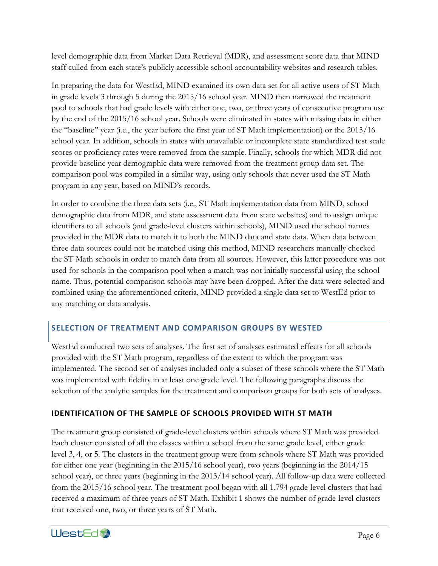level demographic data from Market Data Retrieval (MDR), and assessment score data that MIND staff culled from each state's publicly accessible school accountability websites and research tables.

In preparing the data for WestEd, MIND examined its own data set for all active users of ST Math in grade levels 3 through 5 during the 2015/16 school year. MIND then narrowed the treatment pool to schools that had grade levels with either one, two, or three years of consecutive program use by the end of the 2015/16 school year. Schools were eliminated in states with missing data in either the "baseline" year (i.e., the year before the first year of ST Math implementation) or the 2015/16 school year. In addition, schools in states with unavailable or incomplete state standardized test scale scores or proficiency rates were removed from the sample. Finally, schools for which MDR did not provide baseline year demographic data were removed from the treatment group data set. The comparison pool was compiled in a similar way, using only schools that never used the ST Math program in any year, based on MIND's records.

In order to combine the three data sets (i.e., ST Math implementation data from MIND, school demographic data from MDR, and state assessment data from state websites) and to assign unique identifiers to all schools (and grade-level clusters within schools), MIND used the school names provided in the MDR data to match it to both the MIND data and state data. When data between three data sources could not be matched using this method, MIND researchers manually checked the ST Math schools in order to match data from all sources. However, this latter procedure was not used for schools in the comparison pool when a match was not initially successful using the school name. Thus, potential comparison schools may have been dropped. After the data were selected and combined using the aforementioned criteria, MIND provided a single data set to WestEd prior to any matching or data analysis.

### **SELECTION OF TREATMENT AND COMPARISON GROUPS BY WESTED**

WestEd conducted two sets of analyses. The first set of analyses estimated effects for all schools provided with the ST Math program, regardless of the extent to which the program was implemented. The second set of analyses included only a subset of these schools where the ST Math was implemented with fidelity in at least one grade level. The following paragraphs discuss the selection of the analytic samples for the treatment and comparison groups for both sets of analyses.

### **IDENTIFICATION OF THE SAMPLE OF SCHOOLS PROVIDED WITH ST MATH**

The treatment group consisted of grade-level clusters within schools where ST Math was provided. Each cluster consisted of all the classes within a school from the same grade level, either grade level 3, 4, or 5. The clusters in the treatment group were from schools where ST Math was provided for either one year (beginning in the 2015/16 school year), two years (beginning in the 2014/15 school year), or three years (beginning in the 2013/14 school year). All follow-up data were collected from the 2015/16 school year. The treatment pool began with all 1,794 grade-level clusters that had received a maximum of three years of ST Math. Exhibit 1 shows the number of grade-level clusters that received one, two, or three years of ST Math.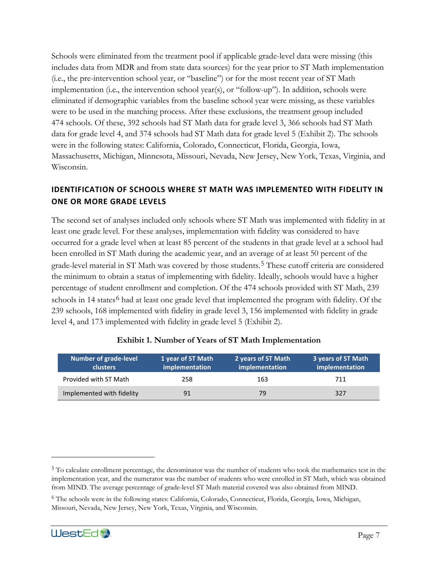Schools were eliminated from the treatment pool if applicable grade-level data were missing (this includes data from MDR and from state data sources) for the year prior to ST Math implementation (i.e., the pre-intervention school year, or "baseline") or for the most recent year of ST Math implementation (i.e., the intervention school year(s), or "follow-up"). In addition, schools were eliminated if demographic variables from the baseline school year were missing, as these variables were to be used in the matching process. After these exclusions, the treatment group included 474 schools. Of these, 392 schools had ST Math data for grade level 3, 366 schools had ST Math data for grade level 4, and 374 schools had ST Math data for grade level 5 (Exhibit 2). The schools were in the following states: California, Colorado, Connecticut, Florida, Georgia, Iowa, Massachusetts, Michigan, Minnesota, Missouri, Nevada, New Jersey, New York, Texas, Virginia, and Wisconsin.

# **IDENTIFICATION OF SCHOOLS WHERE ST MATH WAS IMPLEMENTED WITH FIDELITY IN ONE OR MORE GRADE LEVELS**

The second set of analyses included only schools where ST Math was implemented with fidelity in at least one grade level. For these analyses, implementation with fidelity was considered to have occurred for a grade level when at least 85 percent of the students in that grade level at a school had been enrolled in ST Math during the academic year, and an average of at least 50 percent of the grade-level material in ST Math was covered by those students.<sup>[5](#page-10-1)</sup> These cutoff criteria are considered the minimum to obtain a status of implementing with fidelity. Ideally, schools would have a higher percentage of student enrollment and completion. Of the 474 schools provided with ST Math, 239 schools in 14 states<sup>[6](#page-10-2)</sup> had at least one grade level that implemented the program with fidelity. Of the 239 schools, 168 implemented with fidelity in grade level 3, 156 implemented with fidelity in grade level 4, and 173 implemented with fidelity in grade level 5 (Exhibit 2).

<span id="page-10-0"></span>

| <b>Number of grade-level</b><br><b>clusters</b> | 1 year of ST Math<br>implementation | 2 years of ST Math<br>implementation | 3 years of ST Math<br>implementation |
|-------------------------------------------------|-------------------------------------|--------------------------------------|--------------------------------------|
| Provided with ST Math                           | 258                                 | 163                                  | 711                                  |
| Implemented with fidelity                       | 91                                  | 79                                   | 327                                  |

#### **Exhibit 1. Number of Years of ST Math Implementation**

<span id="page-10-2"></span><sup>6</sup> The schools were in the following states: California, Colorado, Connecticut, Florida, Georgia, Iowa, Michigan, Missouri, Nevada, New Jersey, New York, Texas, Virginia, and Wisconsin.



<span id="page-10-1"></span><sup>&</sup>lt;sup>5</sup> To calculate enrollment percentage, the denominator was the number of students who took the mathematics test in the implementation year, and the numerator was the number of students who were enrolled in ST Math, which was obtained from MIND. The average percentage of grade-level ST Math material covered was also obtained from MIND.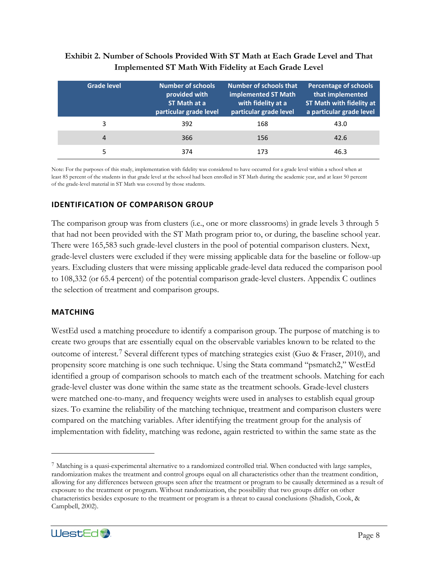#### <span id="page-11-0"></span>**Exhibit 2. Number of Schools Provided With ST Math at Each Grade Level and That Implemented ST Math With Fidelity at Each Grade Level**

| <b>Grade level</b> | <b>Number of schools</b><br>provided with<br>ST Math at a<br>particular grade level | Number of schools that<br>implemented ST Math<br>with fidelity at a<br>particular grade level | <b>Percentage of schools</b><br>that implemented<br><b>ST Math with fidelity at</b><br>a particular grade level |
|--------------------|-------------------------------------------------------------------------------------|-----------------------------------------------------------------------------------------------|-----------------------------------------------------------------------------------------------------------------|
| 3                  | 392                                                                                 | 168                                                                                           | 43.0                                                                                                            |
| 4                  | 366                                                                                 | 156                                                                                           | 42.6                                                                                                            |
|                    | 374                                                                                 | 173                                                                                           | 46.3                                                                                                            |

Note: For the purposes of this study, implementation with fidelity was considered to have occurred for a grade level within a school when at least 85 percent of the students in that grade level at the school had been enrolled in ST Math during the academic year, and at least 50 percent of the grade-level material in ST Math was covered by those students.

#### **IDENTIFICATION OF COMPARISON GROUP**

The comparison group was from clusters (i.e., one or more classrooms) in grade levels 3 through 5 that had not been provided with the ST Math program prior to, or during, the baseline school year. There were 165,583 such grade-level clusters in the pool of potential comparison clusters. Next, grade-level clusters were excluded if they were missing applicable data for the baseline or follow-up years. Excluding clusters that were missing applicable grade-level data reduced the comparison pool to 108,332 (or 65.4 percent) of the potential comparison grade-level clusters. Appendix C outlines the selection of treatment and comparison groups.

#### **MATCHING**

WestEd used a matching procedure to identify a comparison group. The purpose of matching is to create two groups that are essentially equal on the observable variables known to be related to the outcome of interest.[7](#page-11-1) Several different types of matching strategies exist (Guo & Fraser, 2010), and propensity score matching is one such technique. Using the Stata command "psmatch2," WestEd identified a group of comparison schools to match each of the treatment schools. Matching for each grade-level cluster was done within the same state as the treatment schools. Grade-level clusters were matched one-to-many, and frequency weights were used in analyses to establish equal group sizes. To examine the reliability of the matching technique, treatment and comparison clusters were compared on the matching variables. After identifying the treatment group for the analysis of implementation with fidelity, matching was redone, again restricted to within the same state as the

<span id="page-11-1"></span><sup>7</sup> Matching is a quasi-experimental alternative to a randomized controlled trial. When conducted with large samples, randomization makes the treatment and control groups equal on all characteristics other than the treatment condition, allowing for any differences between groups seen after the treatment or program to be causally determined as a result of exposure to the treatment or program. Without randomization, the possibility that two groups differ on other characteristics besides exposure to the treatment or program is a threat to causal conclusions (Shadish, Cook, & Campbell, 2002).

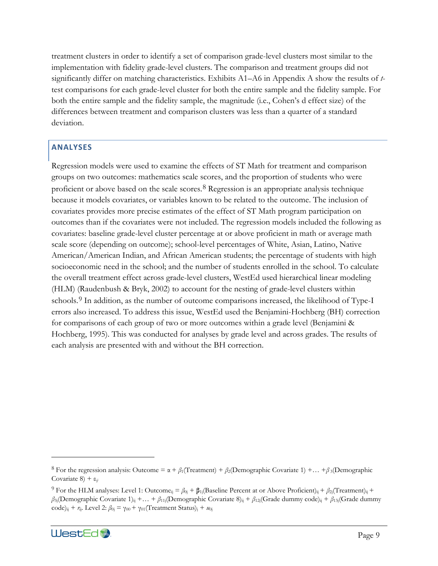treatment clusters in order to identify a set of comparison grade-level clusters most similar to the implementation with fidelity grade-level clusters. The comparison and treatment groups did not significantly differ on matching characteristics. Exhibits A1–A6 in Appendix A show the results of *t*test comparisons for each grade-level cluster for both the entire sample and the fidelity sample. For both the entire sample and the fidelity sample, the magnitude (i.e., Cohen's d effect size) of the differences between treatment and comparison clusters was less than a quarter of a standard deviation.

#### **ANALYSES**

Regression models were used to examine the effects of ST Math for treatment and comparison groups on two outcomes: mathematics scale scores, and the proportion of students who were proficient or above based on the scale scores.<sup>[8](#page-12-0)</sup> Regression is an appropriate analysis technique because it models covariates, or variables known to be related to the outcome. The inclusion of covariates provides more precise estimates of the effect of ST Math program participation on outcomes than if the covariates were not included. The regression models included the following as covariates: baseline grade-level cluster percentage at or above proficient in math or average math scale score (depending on outcome); school-level percentages of White, Asian, Latino, Native American/American Indian, and African American students; the percentage of students with high socioeconomic need in the school; and the number of students enrolled in the school. To calculate the overall treatment effect across grade-level clusters, WestEd used hierarchical linear modeling (HLM) (Raudenbush & Bryk, 2002) to account for the nesting of grade-level clusters within schools.<sup>[9](#page-12-1)</sup> In addition, as the number of outcome comparisons increased, the likelihood of Type-I errors also increased. To address this issue, WestEd used the Benjamini-Hochberg (BH) correction for comparisons of each group of two or more outcomes within a grade level (Benjamini & Hochberg, 1995). This was conducted for analyses by grade level and across grades. The results of each analysis are presented with and without the BH correction.

<span id="page-12-1"></span><sup>&</sup>lt;sup>9</sup> For the HLM analyses: Level 1: Outcome<sub>ii</sub> =  $\beta_{0i}$  +  $\beta_{1i}$ (Baseline Percent at or Above Proficient)<sub>ii</sub> +  $\beta_{2i}$ (Treatment)<sub>ii</sub> + *β*<sub>3j</sub>(Demographic Covariate 1)<sub>ij</sub> +… + *β*<sub>11j</sub>(Demographic Covariate 8)<sub>ij</sub> + *β*<sub>12j</sub>(Grade dummy code)<sub>ij</sub> + *β*<sub>13j</sub>(Grade dummy code)<sub>ij</sub> +  $r_{ij}$ . Level 2:  $\beta_{0j} = \gamma_{00} + \gamma_{01}$ (Treatment Status)<sub>j</sub> +  $u_{0j}$ 



<span id="page-12-0"></span><sup>8</sup> For the regression analysis: Outcome = α+ *β*1(Treatment) + *β*2(Demographic Covariate 1) +… +*β* 3(Demographic Covariate 8) + ε*ij*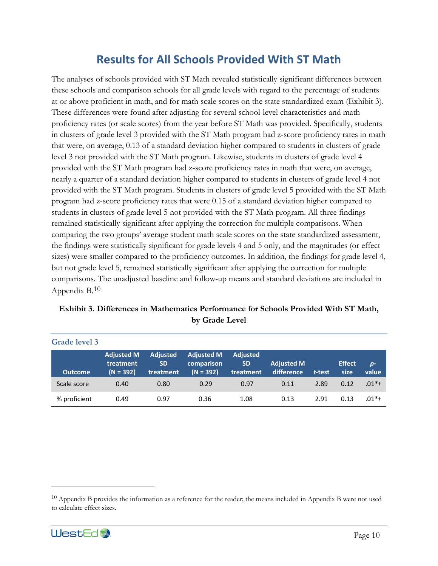# **Results for All Schools Provided With ST Math**

The analyses of schools provided with ST Math revealed statistically significant differences between these schools and comparison schools for all grade levels with regard to the percentage of students at or above proficient in math, and for math scale scores on the state standardized exam (Exhibit 3). These differences were found after adjusting for several school-level characteristics and math proficiency rates (or scale scores) from the year before ST Math was provided. Specifically, students in clusters of grade level 3 provided with the ST Math program had z-score proficiency rates in math that were, on average, 0.13 of a standard deviation higher compared to students in clusters of grade level 3 not provided with the ST Math program. Likewise, students in clusters of grade level 4 provided with the ST Math program had z-score proficiency rates in math that were, on average, nearly a quarter of a standard deviation higher compared to students in clusters of grade level 4 not provided with the ST Math program. Students in clusters of grade level 5 provided with the ST Math program had z-score proficiency rates that were 0.15 of a standard deviation higher compared to students in clusters of grade level 5 not provided with the ST Math program. All three findings remained statistically significant after applying the correction for multiple comparisons. When comparing the two groups' average student math scale scores on the state standardized assessment, the findings were statistically significant for grade levels 4 and 5 only, and the magnitudes (or effect sizes) were smaller compared to the proficiency outcomes. In addition, the findings for grade level 4, but not grade level 5, remained statistically significant after applying the correction for multiple comparisons. The unadjusted baseline and follow-up means and standard deviations are included in Appendix B.[10](#page-13-1)

| Grade level 3  |                                               |                                           |                                                |                                           |                                 |        |                       |               |
|----------------|-----------------------------------------------|-------------------------------------------|------------------------------------------------|-------------------------------------------|---------------------------------|--------|-----------------------|---------------|
| <b>Outcome</b> | <b>Adjusted M</b><br>treatment<br>$(N = 392)$ | <b>Adjusted</b><br><b>SD</b><br>treatment | <b>Adjusted M</b><br>comparison<br>$(N = 392)$ | <b>Adjusted</b><br><b>SD</b><br>treatment | <b>Adjusted M</b><br>difference | t-test | <b>Effect</b><br>size | $p-$<br>value |
| Scale score    | 0.40                                          | 0.80                                      | 0.29                                           | 0.97                                      | 0.11                            | 2.89   | 0.12                  | $.01*$        |
| % proficient   | 0.49                                          | 0.97                                      | 0.36                                           | 1.08                                      | 0.13                            | 2.91   | 0.13                  | $.01**$       |

### <span id="page-13-0"></span>**Exhibit 3. Differences in Mathematics Performance for Schools Provided With ST Math, by Grade Level**

<span id="page-13-1"></span> $10$  Appendix B provides the information as a reference for the reader; the means included in Appendix B were not used to calculate effect sizes.

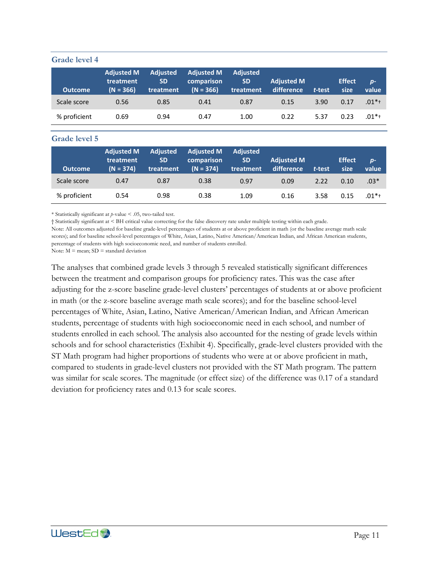#### **Grade level 4**

| <b>Outcome</b> | <b>Adjusted M</b><br>treatment<br>$(N = 366)$ | <b>Adjusted</b><br><b>SD</b><br>treatment | <b>Adjusted M</b><br>comparison<br>$(N = 366)$ | <b>Adjusted</b><br><b>SD</b><br>treatment | <b>Adjusted M</b><br>difference | t-test | <b>Effect</b><br>size | $p-$<br>value |
|----------------|-----------------------------------------------|-------------------------------------------|------------------------------------------------|-------------------------------------------|---------------------------------|--------|-----------------------|---------------|
| Scale score    | 0.56                                          | 0.85                                      | 0.41                                           | 0.87                                      | 0.15                            | 3.90   | 0.17                  | $.01*$        |
| % proficient   | 0.69                                          | 0.94                                      | 0.47                                           | 1.00                                      | 0.22                            | 5.37   | 0.23                  | $.01**$       |

#### **Grade level 5**

| <b>Outcome</b> | <b>Adjusted M</b><br>treatment<br>$(N = 374)$ | <b>Adjusted</b><br><b>SD</b><br>treatment | <b>Adjusted M</b><br>comparison<br>$(N = 374)$ | <b>Adjusted</b><br><b>SD</b><br>treatment | <b>Adjusted M</b><br>difference | t-test | <b>Effect</b><br>size | $p-$<br>value |
|----------------|-----------------------------------------------|-------------------------------------------|------------------------------------------------|-------------------------------------------|---------------------------------|--------|-----------------------|---------------|
| Scale score    | 0.47                                          | 0.87                                      | 0.38                                           | 0.97                                      | 0.09                            | 2.22   | 0.10                  | $.03*$        |
| % proficient   | 0.54                                          | 0.98                                      | 0.38                                           | 1.09                                      | 0.16                            | 3.58   | 0.15                  | $.01*$        |

\* Statistically significant at *p*-value < .05, two-tailed test.

† Statistically significant at < BH critical value correcting for the false discovery rate under multiple testing within each grade. Note: All outcomes adjusted for baseline grade-level percentages of students at or above proficient in math (or the baseline average math scale scores); and for baseline school-level percentages of White, Asian, Latino, Native American/American Indian, and African American students, percentage of students with high socioeconomic need, and number of students enrolled.

Note:  $M =$  mean;  $SD =$  standard deviation

The analyses that combined grade levels 3 through 5 revealed statistically significant differences between the treatment and comparison groups for proficiency rates. This was the case after adjusting for the z-score baseline grade-level clusters' percentages of students at or above proficient in math (or the z-score baseline average math scale scores); and for the baseline school-level percentages of White, Asian, Latino, Native American/American Indian, and African American students, percentage of students with high socioeconomic need in each school, and number of students enrolled in each school. The analysis also accounted for the nesting of grade levels within schools and for school characteristics (Exhibit 4). Specifically, grade-level clusters provided with the ST Math program had higher proportions of students who were at or above proficient in math, compared to students in grade-level clusters not provided with the ST Math program. The pattern was similar for scale scores. The magnitude (or effect size) of the difference was 0.17 of a standard deviation for proficiency rates and 0.13 for scale scores.

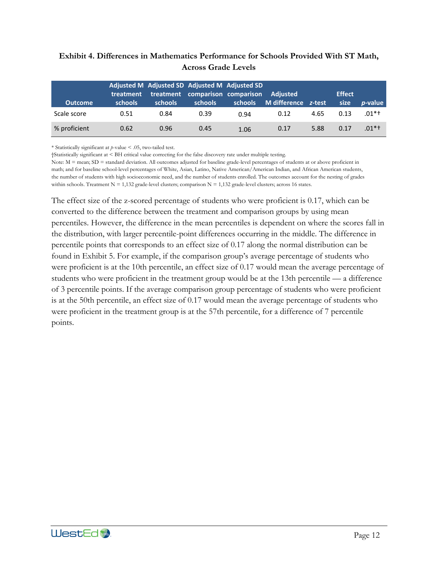#### <span id="page-15-0"></span>**Exhibit 4. Differences in Mathematics Performance for Schools Provided With ST Math, Across Grade Levels**

| <b>Outcome</b> | treatment<br>schools | Adjusted M Adjusted SD Adjusted M Adjusted SD<br>schools | treatment comparison comparison<br>schools | schools | <b>Adjusted</b><br>M difference z-test |      | <b>Effect</b><br>size | <i>p</i> -value |
|----------------|----------------------|----------------------------------------------------------|--------------------------------------------|---------|----------------------------------------|------|-----------------------|-----------------|
| Scale score    | 0.51                 | 0.84                                                     | 0.39                                       | 0.94    | 0.12                                   | 4.65 | 0.13                  | .01*†           |
| % proficient   | 0.62                 | 0.96                                                     | 0.45                                       | 1.06    | 0.17                                   | 5.88 | 0.17                  | $.01*$ t        |

\* Statistically significant at *p*-value < .05, two-tailed test.

†Statistically significant at < BH critical value correcting for the false discovery rate under multiple testing.

Note:  $M =$  mean;  $SD =$  standard deviation. All outcomes adjusted for baseline grade-level percentages of students at or above proficient in math; and for baseline school-level percentages of White, Asian, Latino, Native American/American Indian, and African American students, the number of students with high socioeconomic need, and the number of students enrolled. The outcomes account for the nesting of grades within schools. Treatment  $N = 1,132$  grade-level clusters; comparison  $N = 1,132$  grade-level clusters; across 16 states.

The effect size of the z-scored percentage of students who were proficient is 0.17, which can be converted to the difference between the treatment and comparison groups by using mean percentiles. However, the difference in the mean percentiles is dependent on where the scores fall in the distribution, with larger percentile-point differences occurring in the middle. The difference in percentile points that corresponds to an effect size of 0.17 along the normal distribution can be found in Exhibit 5. For example, if the comparison group's average percentage of students who were proficient is at the 10th percentile, an effect size of 0.17 would mean the average percentage of students who were proficient in the treatment group would be at the 13th percentile — a difference of 3 percentile points. If the average comparison group percentage of students who were proficient is at the 50th percentile, an effect size of 0.17 would mean the average percentage of students who were proficient in the treatment group is at the 57th percentile, for a difference of 7 percentile points.

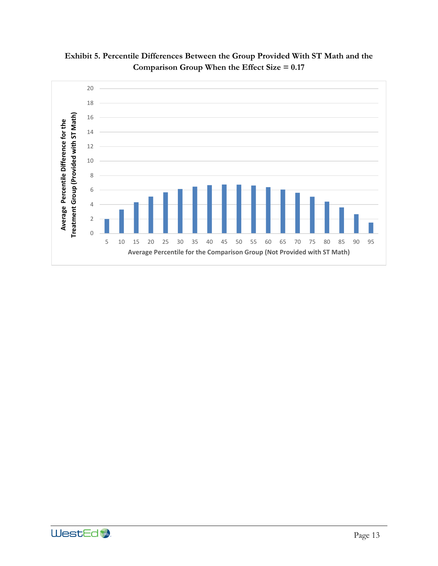

<span id="page-16-0"></span>**Exhibit 5. Percentile Differences Between the Group Provided With ST Math and the Comparison Group When the Effect Size = 0.17** 

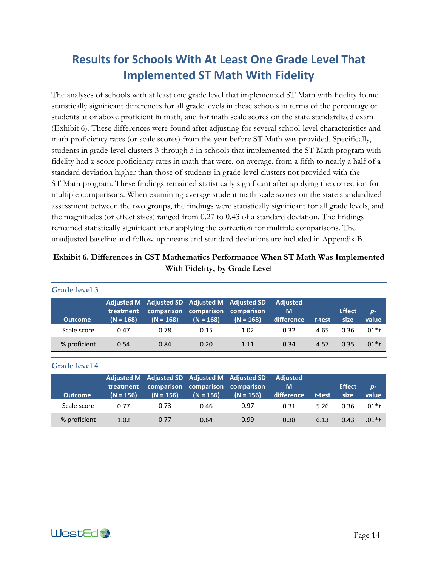# **Results for Schools With At Least One Grade Level That Implemented ST Math With Fidelity**

The analyses of schools with at least one grade level that implemented ST Math with fidelity found statistically significant differences for all grade levels in these schools in terms of the percentage of students at or above proficient in math, and for math scale scores on the state standardized exam (Exhibit 6). These differences were found after adjusting for several school-level characteristics and math proficiency rates (or scale scores) from the year before ST Math was provided. Specifically, students in grade-level clusters 3 through 5 in schools that implemented the ST Math program with fidelity had z-score proficiency rates in math that were, on average, from a fifth to nearly a half of a standard deviation higher than those of students in grade-level clusters not provided with the ST Math program. These findings remained statistically significant after applying the correction for multiple comparisons. When examining average student math scale scores on the state standardized assessment between the two groups, the findings were statistically significant for all grade levels, and the magnitudes (or effect sizes) ranged from 0.27 to 0.43 of a standard deviation. The findings remained statistically significant after applying the correction for multiple comparisons. The unadjusted baseline and follow-up means and standard deviations are included in Appendix B.

### <span id="page-17-0"></span>**Exhibit 6. Differences in CST Mathematics Performance When ST Math Was Implemented With Fidelity, by Grade Level**

| Grade level 3  |                          |                                                              |                                      |                           |                                    |        |                       |               |
|----------------|--------------------------|--------------------------------------------------------------|--------------------------------------|---------------------------|------------------------------------|--------|-----------------------|---------------|
| <b>Outcome</b> | treatment<br>$(N = 168)$ | Adjusted M Adjusted SD Adjusted M Adjusted SD<br>$(N = 168)$ | comparison comparison<br>$(N = 168)$ | comparison<br>$(N = 168)$ | <b>Adjusted</b><br>M<br>difference | t-test | <b>Effect</b><br>size | $p-$<br>value |
| Scale score    | 0.47                     | 0.78                                                         | 0.15                                 | 1.02                      | 0.32                               | 4.65   | 0.36                  | $.01*$        |
| % proficient   | 0.54                     | 0.84                                                         | 0.20                                 | 1.11                      | 0.34                               | 4.57   | 0.35                  | $.01*$        |

### **Grade level 4**

| <b>Outcome</b> | treatment<br>$(N = 156)$ | Adjusted M Adjusted SD Adjusted M Adjusted SD<br>$(N = 156)$ | comparison comparison comparison<br>$(N = 156)$ | $(N = 156)$ | <b>Adiusted</b><br>M<br>difference | t-test | <b>Effect</b><br>size | $D -$<br>value |
|----------------|--------------------------|--------------------------------------------------------------|-------------------------------------------------|-------------|------------------------------------|--------|-----------------------|----------------|
| Scale score    | በ 77                     | 0.73                                                         | 0.46                                            | 0.97        | 0.31                               | 5.26   | 0.36                  | $.01**$        |
| % proficient   | 1.02                     | 0.77                                                         | 0.64                                            | 0.99        | 0.38                               | 6.13   | 0.43                  | $.01*$ +       |

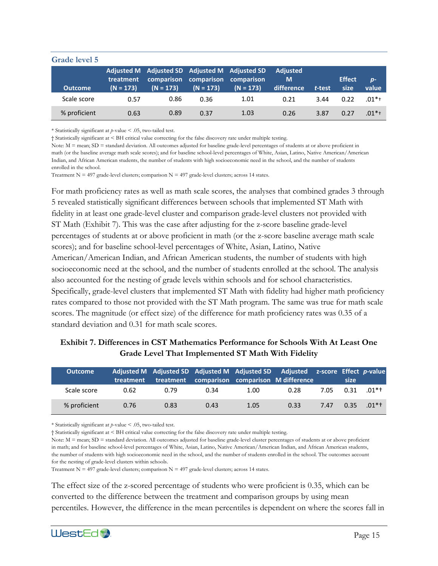| Grade level 5  |                          |                                                                            |                           |                           |                                    |        |                       |               |
|----------------|--------------------------|----------------------------------------------------------------------------|---------------------------|---------------------------|------------------------------------|--------|-----------------------|---------------|
| <b>Outcome</b> | treatment<br>$(N = 173)$ | Adjusted M Adjusted SD Adjusted M Adjusted SD<br>comparison<br>$(N = 173)$ | comparison<br>$(N = 173)$ | comparison<br>$(N = 173)$ | <b>Adjusted</b><br>M<br>difference | t-test | <b>Effect</b><br>size | $p-$<br>value |
| Scale score    | 0.57                     | 0.86                                                                       | 0.36                      | 1.01                      | 0.21                               | 3.44   | 0.22                  | $.01**$       |
| % proficient   | 0.63                     | 0.89                                                                       | 0.37                      | 1.03                      | 0.26                               | 3.87   | 0.27                  | $.01*$        |

\* Statistically significant at *p*-value < .05, two-tailed test.

† Statistically significant at < BH critical value correcting for the false discovery rate under multiple testing.

Note:  $M =$  mean;  $SD =$  standard deviation. All outcomes adjusted for baseline grade-level percentages of students at or above proficient in math (or the baseline average math scale scores); and for baseline school-level percentages of White, Asian, Latino, Native American/American Indian, and African American students, the number of students with high socioeconomic need in the school, and the number of students enrolled in the school.

Treatment N = 497 grade-level clusters; comparison N = 497 grade-level clusters; across 14 states.

For math proficiency rates as well as math scale scores, the analyses that combined grades 3 through 5 revealed statistically significant differences between schools that implemented ST Math with fidelity in at least one grade-level cluster and comparison grade-level clusters not provided with ST Math (Exhibit 7). This was the case after adjusting for the z-score baseline grade-level percentages of students at or above proficient in math (or the z-score baseline average math scale scores); and for baseline school-level percentages of White, Asian, Latino, Native American/American Indian, and African American students, the number of students with high socioeconomic need at the school, and the number of students enrolled at the school. The analysis also accounted for the nesting of grade levels within schools and for school characteristics. Specifically, grade-level clusters that implemented ST Math with fidelity had higher math proficiency rates compared to those not provided with the ST Math program. The same was true for math scale scores. The magnitude (or effect size) of the difference for math proficiency rates was 0.35 of a standard deviation and 0.31 for math scale scores.

# <span id="page-18-0"></span>**Exhibit 7. Differences in CST Mathematics Performance for Schools With At Least One Grade Level That Implemented ST Math With Fidelity**

| <b>Outcome</b> | treatment | treatment |      |      | Adjusted M Adjusted SD Adjusted M Adjusted SD Adjusted z-score Effect p-value<br>comparison comparison M difference |      | size |          |
|----------------|-----------|-----------|------|------|---------------------------------------------------------------------------------------------------------------------|------|------|----------|
| Scale score    | 0.62      | 0.79      | 0.34 | 1.00 | 0.28                                                                                                                | 7.05 | 0.31 | $.01*$ t |
| % proficient   | 0.76      | 0.83      | 0.43 | 1.05 | 0.33                                                                                                                | 7.47 | 0.35 | $01*$ †  |

\* Statistically significant at *p*-value < .05, two-tailed test.

† Statistically significant at < BH critical value correcting for the false discovery rate under multiple testing.

Note:  $M =$  mean;  $SD =$  standard deviation. All outcomes adjusted for baseline grade-level cluster percentages of students at or above proficient in math; and for baseline school-level percentages of White, Asian, Latino, Native American/American Indian, and African American students, the number of students with high socioeconomic need in the school, and the number of students enrolled in the school. The outcomes account for the nesting of grade-level clusters within schools.

Treatment N = 497 grade-level clusters; comparison N = 497 grade-level clusters; across 14 states.

The effect size of the z-scored percentage of students who were proficient is 0.35, which can be converted to the difference between the treatment and comparison groups by using mean percentiles. However, the difference in the mean percentiles is dependent on where the scores fall in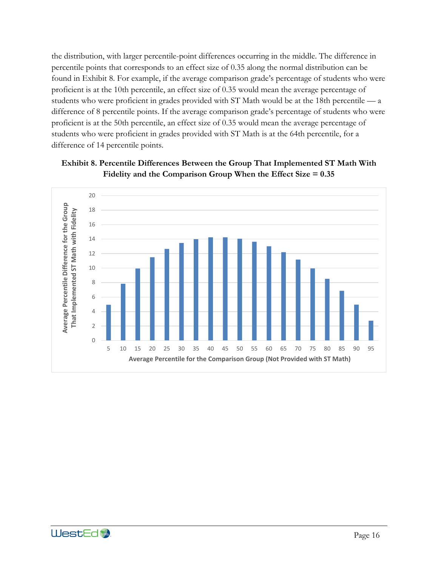the distribution, with larger percentile-point differences occurring in the middle. The difference in percentile points that corresponds to an effect size of 0.35 along the normal distribution can be found in Exhibit 8. For example, if the average comparison grade's percentage of students who were proficient is at the 10th percentile, an effect size of 0.35 would mean the average percentage of students who were proficient in grades provided with ST Math would be at the 18th percentile — a difference of 8 percentile points. If the average comparison grade's percentage of students who were proficient is at the 50th percentile, an effect size of 0.35 would mean the average percentage of students who were proficient in grades provided with ST Math is at the 64th percentile, for a difference of 14 percentile points.



<span id="page-19-0"></span>

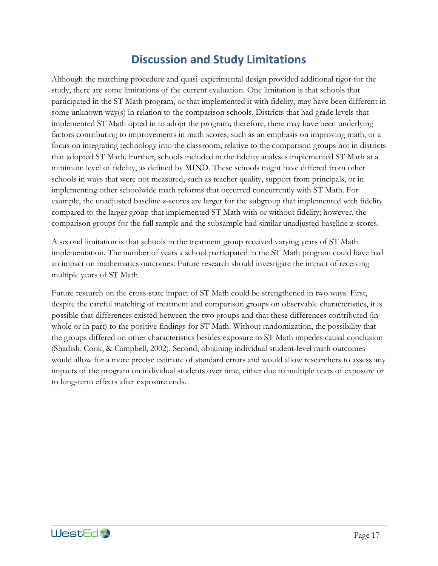# **Discussion and Study Limitations**

Although the matching procedure and quasi-experimental design provided additional rigor for the study, there are some limitations of the current evaluation. One limitation is that schools that participated in the ST Math program, or that implemented it with fidelity, may have been different in some unknown way(s) in relation to the comparison schools. Districts that had grade levels that implemented ST Math opted in to adopt the program; therefore, there may have been underlying factors contributing to improvements in math scores, such as an emphasis on improving math, or a focus on integrating technology into the classroom, relative to the comparison groups not in districts that adopted ST Math. Further, schools included in the fidelity analyses implemented ST Math at a minimum level of fidelity, as defined by MIND. These schools might have differed from other schools in ways that were not measured, such as teacher quality, support from principals, or in implementing other schoolwide math reforms that occurred concurrently with ST Math. For example, the unadjusted baseline z-scores are larger for the subgroup that implemented with fidelity compared to the larger group that implemented ST Math with or without fidelity; however, the comparison groups for the full sample and the subsample had similar unadjusted baseline z-scores.

A second limitation is that schools in the treatment group received varying years of ST Math implementation. The number of years a school participated in the ST Math program could have had an impact on mathematics outcomes. Future research should investigate the impact of receiving multiple years of ST Math.

Future research on the cross-state impact of ST Math could be strengthened in two ways. First, despite the careful matching of treatment and comparison groups on observable characteristics, it is possible that differences existed between the two groups and that these differences contributed (in whole or in part) to the positive findings for ST Math. Without randomization, the possibility that the groups differed on other characteristics besides exposure to ST Math impedes causal conclusion (Shadish, Cook, & Campbell, 2002). Second, obtaining individual student-level math outcomes would allow for a more precise estimate of standard errors and would allow researchers to assess any impacts of the program on individual students over time, either due to multiple years of exposure or to long-term effects after exposure ends.

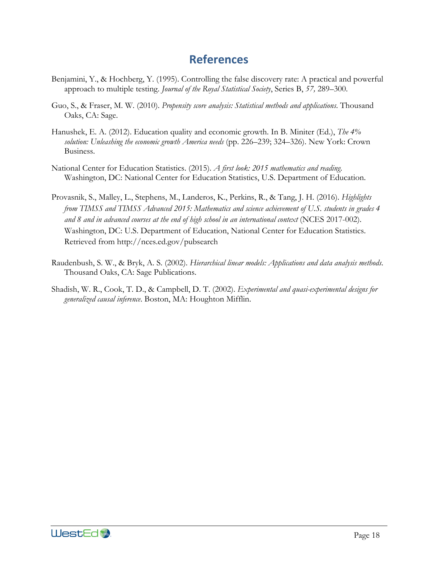# **References**

- Benjamini, Y., & Hochberg, Y. (1995). Controlling the false discovery rate: A practical and powerful approach to multiple testing. *Journal of the Royal Statistical Society*, Series B, *57,* 289–300.
- Guo, S., & Fraser, M. W. (2010). *Propensity score analysis: Statistical methods and applications*. Thousand Oaks, CA: Sage.
- Hanushek, E. A. (2012). Education quality and economic growth. In B. Miniter (Ed.), *The 4% solution: Unleashing the economic growth America needs* (pp. 226–239; 324–326). New York: Crown Business.
- National Center for Education Statistics. (2015). *A first look: 2015 mathematics and reading*. Washington, DC: National Center for Education Statistics, U.S. Department of Education.
- Provasnik, S., Malley, L., Stephens, M., Landeros, K., Perkins, R., & Tang, J. H. (2016). *Highlights from TIMSS and TIMSS Advanced 2015: Mathematics and science achievement of U.S. students in grades 4 and 8 and in advanced courses at the end of high school in an international context* (NCES 2017-002). Washington, DC: U.S. Department of Education, National Center for Education Statistics. Retrieved from http://nces.ed.gov/pubsearch
- Raudenbush, S. W., & Bryk, A. S. (2002). *Hierarchical linear models: Applications and data analysis methods*. Thousand Oaks, CA: Sage Publications.
- Shadish, W. R., Cook, T. D., & Campbell, D. T. (2002). *Experimental and quasi-experimental designs for generalized causal inference*. Boston, MA: Houghton Mifflin.

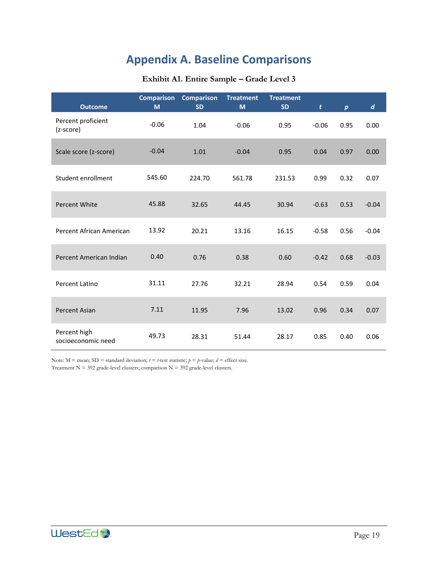# **Appendix A. Baseline Comparisons**

#### **Exhibit A1. Entire Sample – Grade Level 3**

<span id="page-22-0"></span>

| <b>Outcome</b>                     | <b>Comparison</b><br>M | <b>Comparison</b><br><b>SD</b> | <b>Treatment</b><br>M | <b>Treatment</b><br><b>SD</b> | t       | $\boldsymbol{p}$ | $\boldsymbol{d}$ |
|------------------------------------|------------------------|--------------------------------|-----------------------|-------------------------------|---------|------------------|------------------|
| Percent proficient<br>(z-score)    | $-0.06$                | 1.04                           | $-0.06$               | 0.95                          | $-0.06$ | 0.95             | 0.00             |
| Scale score (z-score)              | $-0.04$                | 1.01                           | $-0.04$               | 0.95                          | 0.04    | 0.97             | 0.00             |
| Student enrollment                 | 545.60                 | 224.70                         | 561.78                | 231.53                        | 0.99    | 0.32             | 0.07             |
| Percent White                      | 45.88                  | 32.65                          | 44.45                 | 30.94                         | $-0.63$ | 0.53             | $-0.04$          |
| Percent African American           | 13.92                  | 20.21                          | 13.16                 | 16.15                         | $-0.58$ | 0.56             | $-0.04$          |
| Percent American Indian            | 0.40                   | 0.76                           | 0.38                  | 0.60                          | $-0.42$ | 0.68             | $-0.03$          |
| Percent Latino                     | 31.11                  | 27.76                          | 32.21                 | 28.94                         | 0.54    | 0.59             | 0.04             |
| <b>Percent Asian</b>               | 7.11                   | 11.95                          | 7.96                  | 13.02                         | 0.96    | 0.34             | 0.07             |
| Percent high<br>socioeconomic need | 49.73                  | 28.31                          | 51.44                 | 28.17                         | 0.85    | 0.40             | 0.06             |

Note:  $M =$  mean;  $SD =$  standard deviation;  $t = t$ -test statistic;  $p = p$ -value;  $d =$  effect size. Treatment  $N = 392$  grade-level clusters; comparison  $N = 392$  grade-level clusters.

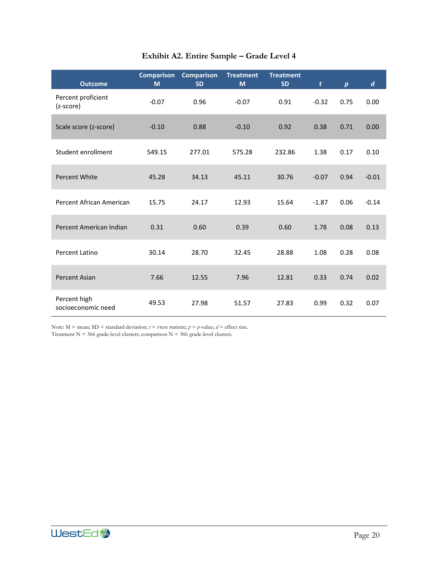<span id="page-23-0"></span>

| <b>Outcome</b>                     | <b>Comparison</b><br>M | <b>Comparison</b><br><b>SD</b> | <b>Treatment</b><br>M | <b>Treatment</b><br><b>SD</b> | $\mathbf{t}$ | $\boldsymbol{p}$ | $\boldsymbol{d}$ |
|------------------------------------|------------------------|--------------------------------|-----------------------|-------------------------------|--------------|------------------|------------------|
| Percent proficient<br>(z-score)    | $-0.07$                | 0.96                           | $-0.07$               | 0.91                          | $-0.32$      | 0.75             | 0.00             |
| Scale score (z-score)              | $-0.10$                | 0.88                           | $-0.10$               | 0.92                          | 0.38         | 0.71             | 0.00             |
| Student enrollment                 | 549.15                 | 277.01                         | 575.28                | 232.86                        | 1.38         | 0.17             | 0.10             |
| <b>Percent White</b>               | 45.28                  | 34.13                          | 45.11                 | 30.76                         | $-0.07$      | 0.94             | $-0.01$          |
| Percent African American           | 15.75                  | 24.17                          | 12.93                 | 15.64                         | $-1.87$      | 0.06             | $-0.14$          |
| Percent American Indian            | 0.31                   | 0.60                           | 0.39                  | 0.60                          | 1.78         | 0.08             | 0.13             |
| Percent Latino                     | 30.14                  | 28.70                          | 32.45                 | 28.88                         | 1.08         | 0.28             | 0.08             |
| <b>Percent Asian</b>               | 7.66                   | 12.55                          | 7.96                  | 12.81                         | 0.33         | 0.74             | 0.02             |
| Percent high<br>socioeconomic need | 49.53                  | 27.98                          | 51.57                 | 27.83                         | 0.99         | 0.32             | 0.07             |

# **Exhibit A2. Entire Sample – Grade Level 4**

Note:  $M =$  mean;  $SD =$  standard deviation;  $t = t$ -test statistic;  $p = p$ -value;  $d =$  effect size.

Treatment N = 366 grade-level clusters; comparison N = 366 grade-level clusters.

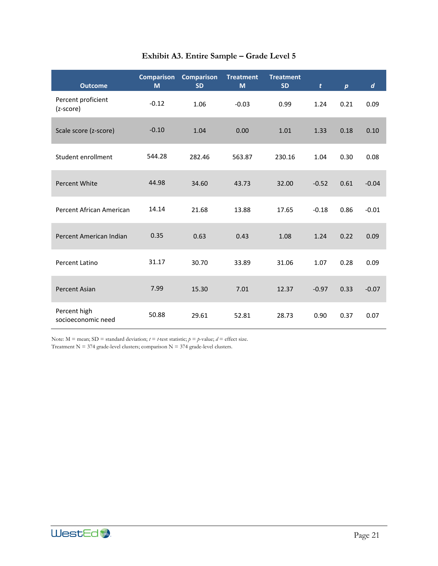<span id="page-24-0"></span>

| <b>Outcome</b>                     | <b>Comparison</b><br>M | <b>Comparison</b><br><b>SD</b> | <b>Treatment</b><br>M | <b>Treatment</b><br><b>SD</b> | $\mathbf{t}$ | $\boldsymbol{p}$ | $\boldsymbol{d}$ |
|------------------------------------|------------------------|--------------------------------|-----------------------|-------------------------------|--------------|------------------|------------------|
| Percent proficient<br>(z-score)    | $-0.12$                | 1.06                           | $-0.03$               | 0.99                          | 1.24         | 0.21             | 0.09             |
| Scale score (z-score)              | $-0.10$                | 1.04                           | 0.00                  | 1.01                          | 1.33         | 0.18             | 0.10             |
| Student enrollment                 | 544.28                 | 282.46                         | 563.87                | 230.16                        | 1.04         | 0.30             | 0.08             |
| <b>Percent White</b>               | 44.98                  | 34.60                          | 43.73                 | 32.00                         | $-0.52$      | 0.61             | $-0.04$          |
| Percent African American           | 14.14                  | 21.68                          | 13.88                 | 17.65                         | $-0.18$      | 0.86             | $-0.01$          |
| Percent American Indian            | 0.35                   | 0.63                           | 0.43                  | 1.08                          | 1.24         | 0.22             | 0.09             |
| Percent Latino                     | 31.17                  | 30.70                          | 33.89                 | 31.06                         | 1.07         | 0.28             | 0.09             |
| <b>Percent Asian</b>               | 7.99                   | 15.30                          | 7.01                  | 12.37                         | $-0.97$      | 0.33             | $-0.07$          |
| Percent high<br>socioeconomic need | 50.88                  | 29.61                          | 52.81                 | 28.73                         | 0.90         | 0.37             | 0.07             |

# **Exhibit A3. Entire Sample – Grade Level 5**

Note:  $M =$  mean;  $SD =$  standard deviation;  $t = t$ -test statistic;  $p = p$ -value;  $d =$  effect size. Treatment N = 374 grade-level clusters; comparison N = 374 grade-level clusters.

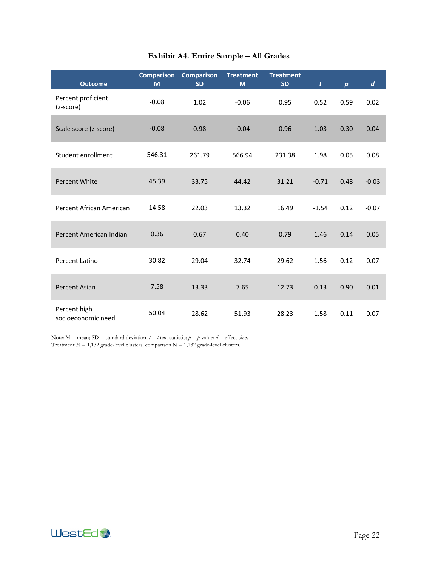<span id="page-25-0"></span>

| <b>Outcome</b>                     | <b>Comparison</b><br>M | <b>Comparison</b><br><b>SD</b> | <b>Treatment</b><br>M | <b>Treatment</b><br><b>SD</b> | t       | $\boldsymbol{p}$ | $\boldsymbol{d}$ |
|------------------------------------|------------------------|--------------------------------|-----------------------|-------------------------------|---------|------------------|------------------|
| Percent proficient<br>(z-score)    | $-0.08$                | 1.02                           | $-0.06$               | 0.95                          | 0.52    | 0.59             | 0.02             |
| Scale score (z-score)              | $-0.08$                | 0.98                           | $-0.04$               | 0.96                          | 1.03    | 0.30             | 0.04             |
| Student enrollment                 | 546.31                 | 261.79                         | 566.94                | 231.38                        | 1.98    | 0.05             | 0.08             |
| Percent White                      | 45.39                  | 33.75                          | 44.42                 | 31.21                         | $-0.71$ | 0.48             | $-0.03$          |
| Percent African American           | 14.58                  | 22.03                          | 13.32                 | 16.49                         | $-1.54$ | 0.12             | $-0.07$          |
| Percent American Indian            | 0.36                   | 0.67                           | 0.40                  | 0.79                          | 1.46    | 0.14             | 0.05             |
| Percent Latino                     | 30.82                  | 29.04                          | 32.74                 | 29.62                         | 1.56    | 0.12             | 0.07             |
| Percent Asian                      | 7.58                   | 13.33                          | 7.65                  | 12.73                         | 0.13    | 0.90             | 0.01             |
| Percent high<br>socioeconomic need | 50.04                  | 28.62                          | 51.93                 | 28.23                         | 1.58    | 0.11             | 0.07             |

# **Exhibit A4. Entire Sample – All Grades**

Note:  $M =$  mean;  $SD =$  standard deviation;  $t = t$ -test statistic;  $p = p$ -value;  $d =$  effect size. Treatment N = 1,132 grade-level clusters; comparison N = 1,132 grade-level clusters.

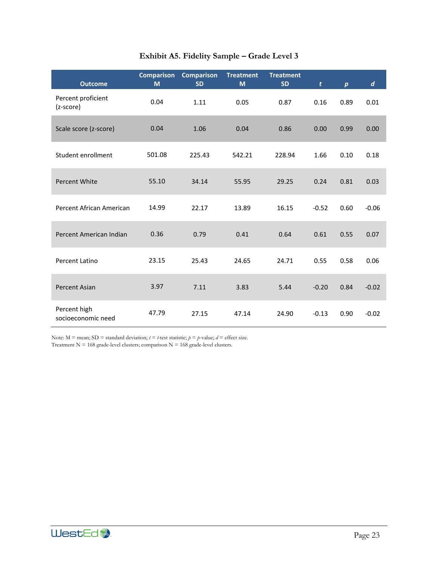<span id="page-26-0"></span>

| <b>Outcome</b>                     | <b>Comparison</b><br>M | <b>Comparison</b><br><b>SD</b> | <b>Treatment</b><br>M | <b>Treatment</b><br><b>SD</b> | t       | $\boldsymbol{p}$ | d       |
|------------------------------------|------------------------|--------------------------------|-----------------------|-------------------------------|---------|------------------|---------|
| Percent proficient<br>(z-score)    | 0.04                   |                                | 0.05                  | 0.87                          | 0.16    | 0.89             | 0.01    |
| Scale score (z-score)              | 0.04                   | 1.06                           | 0.04                  | 0.86                          | 0.00    | 0.99             | 0.00    |
| Student enrollment                 | 501.08                 | 225.43                         | 542.21                | 228.94                        | 1.66    | 0.10             | 0.18    |
| <b>Percent White</b>               | 55.10                  | 34.14                          | 55.95                 | 29.25                         | 0.24    | 0.81             | 0.03    |
| Percent African American           | 14.99                  | 22.17                          | 13.89                 | 16.15                         | $-0.52$ | 0.60             | $-0.06$ |
| Percent American Indian            | 0.36                   | 0.79                           | 0.41                  | 0.64                          | 0.61    | 0.55             | 0.07    |
| Percent Latino                     | 23.15                  | 25.43                          | 24.65                 | 24.71                         | 0.55    | 0.58             | 0.06    |
| <b>Percent Asian</b>               | 3.97                   | 7.11                           | 3.83                  | 5.44                          | $-0.20$ | 0.84             | $-0.02$ |
| Percent high<br>socioeconomic need | 47.79                  | 27.15                          | 47.14                 | 24.90                         | $-0.13$ | 0.90             | $-0.02$ |

# **Exhibit A5. Fidelity Sample – Grade Level 3**

Note:  $M =$  mean;  $SD =$  standard deviation;  $t = t$ -test statistic;  $p = p$ -value;  $d =$  effect size. Treatment N = 168 grade-level clusters; comparison N = 168 grade-level clusters.

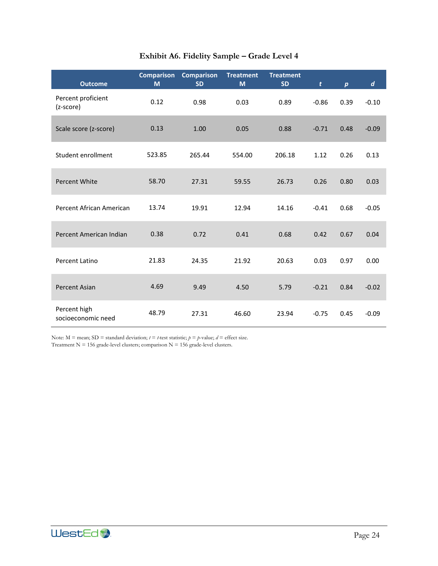<span id="page-27-0"></span>

| <b>Outcome</b>                     | <b>Comparison</b><br>M | <b>Comparison</b><br><b>SD</b> | <b>Treatment</b><br>M | <b>Treatment</b><br><b>SD</b> | t       | $\boldsymbol{p}$ | d       |
|------------------------------------|------------------------|--------------------------------|-----------------------|-------------------------------|---------|------------------|---------|
| Percent proficient<br>(z-score)    | 0.12                   | 0.98                           | 0.03                  | 0.89                          | $-0.86$ | 0.39             | $-0.10$ |
| Scale score (z-score)              | 0.13                   | 1.00<br>0.05                   |                       | 0.88                          | $-0.71$ | 0.48             | $-0.09$ |
| Student enrollment                 | 523.85                 | 265.44                         | 554.00                | 206.18                        | 1.12    | 0.26             | 0.13    |
| <b>Percent White</b>               | 58.70                  | 27.31                          | 59.55                 | 26.73                         | 0.26    | 0.80             | 0.03    |
| Percent African American           | 13.74                  | 19.91                          | 12.94                 | 14.16                         | $-0.41$ | 0.68             | $-0.05$ |
| Percent American Indian            | 0.38                   | 0.72                           | 0.41                  | 0.68                          | 0.42    | 0.67             | 0.04    |
| Percent Latino                     | 21.83                  | 24.35                          | 21.92                 | 20.63                         | 0.03    | 0.97             | 0.00    |
| <b>Percent Asian</b>               | 4.69                   | 9.49                           | 4.50                  | 5.79                          | $-0.21$ | 0.84             | $-0.02$ |
| Percent high<br>socioeconomic need | 48.79                  | 27.31                          | 46.60                 | 23.94                         | $-0.75$ | 0.45             | $-0.09$ |

# **Exhibit A6. Fidelity Sample – Grade Level 4**

Note:  $M =$  mean;  $SD =$  standard deviation;  $t = t$ -test statistic;  $p = p$ -value;  $d =$  effect size. Treatment N = 156 grade-level clusters; comparison N = 156 grade-level clusters.

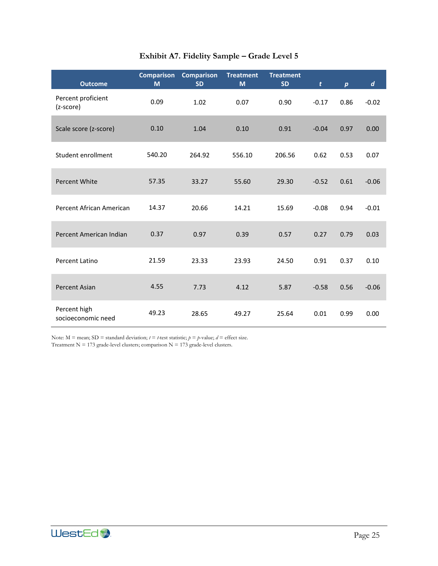<span id="page-28-0"></span>

| <b>Outcome</b>                     | <b>Comparison</b><br>M | <b>Comparison</b><br><b>SD</b> | <b>Treatment</b><br>M | <b>Treatment</b><br><b>SD</b> | t       | $\boldsymbol{p}$ | d       |
|------------------------------------|------------------------|--------------------------------|-----------------------|-------------------------------|---------|------------------|---------|
| Percent proficient<br>(z-score)    | 0.09                   | 1.02                           | 0.07                  | 0.90                          | $-0.17$ | 0.86             | $-0.02$ |
| Scale score (z-score)              | 0.10                   | 1.04                           | 0.10                  | 0.91                          | $-0.04$ | 0.97             | 0.00    |
| Student enrollment                 | 540.20                 | 264.92                         | 556.10                | 206.56                        | 0.62    | 0.53             | 0.07    |
| <b>Percent White</b>               | 57.35                  | 33.27                          | 55.60                 | 29.30                         | $-0.52$ | 0.61             | $-0.06$ |
| Percent African American           | 14.37                  | 20.66                          | 14.21                 | 15.69                         | $-0.08$ | 0.94             | $-0.01$ |
| Percent American Indian            | 0.37                   | 0.97                           | 0.39                  | 0.57                          | 0.27    | 0.79             | 0.03    |
| Percent Latino                     | 21.59                  | 23.33                          | 23.93                 | 24.50                         | 0.91    | 0.37             | 0.10    |
| <b>Percent Asian</b>               | 4.55                   | 7.73                           | 4.12                  | 5.87                          | $-0.58$ | 0.56             | $-0.06$ |
| Percent high<br>socioeconomic need | 49.23                  | 28.65                          | 49.27                 | 25.64                         | 0.01    | 0.99             | 0.00    |

# **Exhibit A7. Fidelity Sample – Grade Level 5**

Note:  $M =$  mean;  $SD =$  standard deviation;  $t = t$ -test statistic;  $p = p$ -value;  $d =$  effect size. Treatment N = 173 grade-level clusters; comparison N = 173 grade-level clusters.

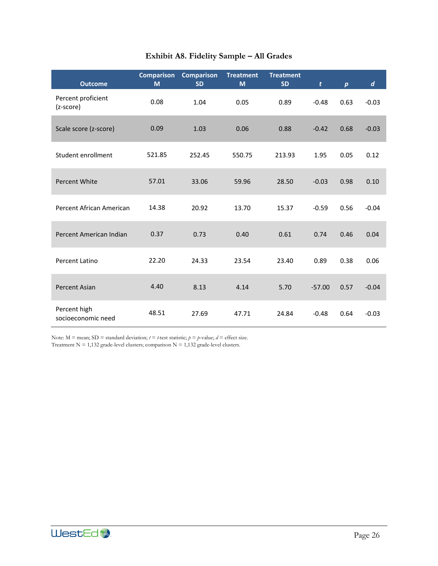<span id="page-29-0"></span>

| <b>Outcome</b>                     | <b>Comparison</b><br>M | <b>Comparison</b><br><b>SD</b> | <b>Treatment</b><br>M | <b>Treatment</b><br><b>SD</b> | t        | $\boldsymbol{p}$ | d       |
|------------------------------------|------------------------|--------------------------------|-----------------------|-------------------------------|----------|------------------|---------|
| Percent proficient<br>(z-score)    | 0.08                   | 1.04                           | 0.05                  | 0.89                          | $-0.48$  | 0.63             | $-0.03$ |
| Scale score (z-score)              | 0.09                   | 1.03                           | 0.06                  | 0.88                          | $-0.42$  | 0.68             | $-0.03$ |
| Student enrollment                 | 521.85                 | 252.45                         | 550.75                | 213.93                        | 1.95     | 0.05             | 0.12    |
| <b>Percent White</b>               | 57.01                  | 33.06                          | 59.96                 | 28.50                         | $-0.03$  | 0.98             | 0.10    |
| Percent African American           | 14.38                  | 20.92                          | 13.70                 | 15.37                         | $-0.59$  | 0.56             | $-0.04$ |
| Percent American Indian            | 0.37                   | 0.73                           | 0.40                  | 0.61                          | 0.74     | 0.46             | 0.04    |
| Percent Latino                     | 22.20                  | 24.33                          | 23.54                 | 23.40                         | 0.89     | 0.38             | 0.06    |
| <b>Percent Asian</b>               | 4.40                   | 8.13                           | 4.14                  | 5.70                          | $-57.00$ | 0.57             | $-0.04$ |
| Percent high<br>socioeconomic need | 48.51                  | 27.69                          | 47.71                 | 24.84                         | $-0.48$  | 0.64             | $-0.03$ |

# **Exhibit A8. Fidelity Sample – All Grades**

Note:  $M =$  mean;  $SD =$  standard deviation;  $t = t$ -test statistic;  $p = p$ -value;  $d =$  effect size. Treatment N = 1,132 grade-level clusters; comparison N = 1,132 grade-level clusters.

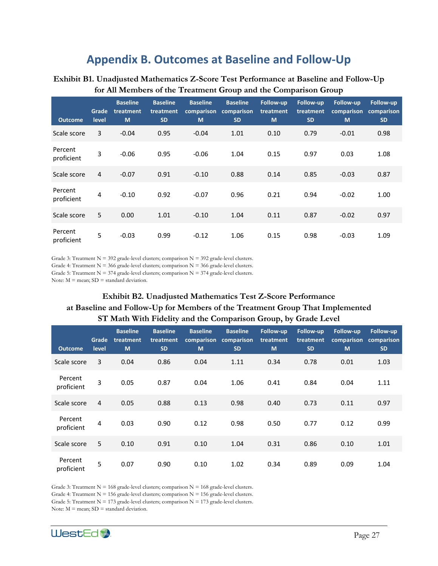# **Appendix B. Outcomes at Baseline and Follow-Up**

### <span id="page-30-0"></span>**Exhibit B1. Unadjusted Mathematics Z-Score Test Performance at Baseline and Follow-Up for All Members of the Treatment Group and the Comparison Group**

| <b>Outcome</b>        | Grade<br>level | <b>Baseline</b><br>treatment<br>M | <b>Baseline</b><br>treatment<br><b>SD</b> | <b>Baseline</b><br>comparison<br>M | <b>Baseline</b><br>comparison<br><b>SD</b> | <b>Follow-up</b><br>treatment<br>M | Follow-up<br>treatment<br><b>SD</b> | Follow-up<br>comparison<br>M | Follow-up<br>comparison<br><b>SD</b> |
|-----------------------|----------------|-----------------------------------|-------------------------------------------|------------------------------------|--------------------------------------------|------------------------------------|-------------------------------------|------------------------------|--------------------------------------|
| Scale score           | 3              | $-0.04$                           | 0.95                                      | $-0.04$                            | 1.01                                       | 0.10                               | 0.79                                | $-0.01$                      | 0.98                                 |
| Percent<br>proficient | 3              | $-0.06$                           | 0.95                                      | $-0.06$                            | 1.04                                       | 0.15                               | 0.97                                | 0.03                         | 1.08                                 |
| Scale score           | 4              | $-0.07$                           | 0.91                                      | $-0.10$                            | 0.88                                       | 0.14                               | 0.85                                | $-0.03$                      | 0.87                                 |
| Percent<br>proficient | 4              | $-0.10$                           | 0.92                                      | $-0.07$                            | 0.96                                       | 0.21                               | 0.94                                | $-0.02$                      | 1.00                                 |
| Scale score           | 5              | 0.00                              | 1.01                                      | $-0.10$                            | 1.04                                       | 0.11                               | 0.87                                | $-0.02$                      | 0.97                                 |
| Percent<br>proficient | 5              | $-0.03$                           | 0.99                                      | $-0.12$                            | 1.06                                       | 0.15                               | 0.98                                | $-0.03$                      | 1.09                                 |

Grade 3: Treatment  $N = 392$  grade-level clusters; comparison  $N = 392$  grade-level clusters.

Grade 4: Treatment  $N = 366$  grade-level clusters; comparison  $N = 366$  grade-level clusters.

Grade 5: Treatment  $N = 374$  grade-level clusters; comparison  $N = 374$  grade-level clusters.

<span id="page-30-1"></span>Note:  $M =$  mean;  $SD =$  standard deviation.

# **Exhibit B2. Unadjusted Mathematics Test Z-Score Performance at Baseline and Follow-Up for Members of the Treatment Group That Implemented ST Math With Fidelity and the Comparison Group, by Grade Level**

| <b>Outcome</b>        | Grade<br>level | <b>Baseline</b><br>treatment<br>M | <b>Baseline</b><br>treatment<br><b>SD</b> | <b>Baseline</b><br>comparison<br>M | <b>Baseline</b><br>comparison<br><b>SD</b> | Follow-up<br>treatment<br>M | <b>Follow-up</b><br>treatment<br><b>SD</b> | Follow-up<br>comparison<br>M | Follow-up<br>comparison<br><b>SD</b> |
|-----------------------|----------------|-----------------------------------|-------------------------------------------|------------------------------------|--------------------------------------------|-----------------------------|--------------------------------------------|------------------------------|--------------------------------------|
| Scale score           | 3              | 0.04                              | 0.86                                      | 0.04                               | 1.11                                       | 0.34                        | 0.78                                       | 0.01                         | 1.03                                 |
| Percent<br>proficient | 3              | 0.05                              | 0.87                                      | 0.04                               | 1.06                                       | 0.41                        | 0.84                                       | 0.04                         | 1.11                                 |
| Scale score           | $\overline{4}$ | 0.05                              | 0.88                                      | 0.13                               | 0.98                                       | 0.40                        | 0.73                                       | 0.11                         | 0.97                                 |
| Percent<br>proficient | 4              | 0.03                              | 0.90                                      | 0.12                               | 0.98                                       | 0.50                        | 0.77                                       | 0.12                         | 0.99                                 |
| Scale score           | 5              | 0.10                              | 0.91                                      | 0.10                               | 1.04                                       | 0.31                        | 0.86                                       | 0.10                         | 1.01                                 |
| Percent<br>proficient | 5              | 0.07                              | 0.90                                      | 0.10                               | 1.02                                       | 0.34                        | 0.89                                       | 0.09                         | 1.04                                 |

Grade 3: Treatment  $N = 168$  grade-level clusters; comparison  $N = 168$  grade-level clusters. Grade 4: Treatment  $N = 156$  grade-level clusters; comparison  $N = 156$  grade-level clusters.

Grade 5: Treatment  $N = 173$  grade-level clusters; comparison  $N = 173$  grade-level clusters.

Note:  $M =$  mean;  $SD =$  standard deviation.